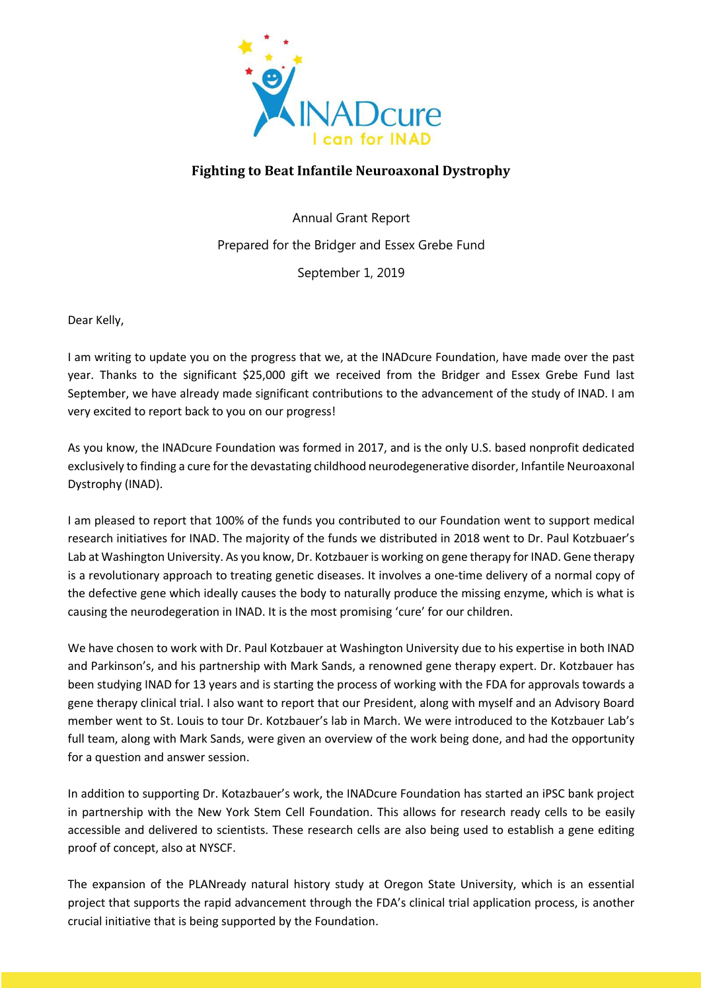

## **Fighting to Beat Infantile Neuroaxonal Dystrophy**

Annual Grant Report Prepared for the Bridger and Essex Grebe Fund September 1, 2019

Dear Kelly,

I am writing to update you on the progress that we, at the INADcure Foundation, have made over the past year. Thanks to the significant \$25,000 gift we received from the Bridger and Essex Grebe Fund last September, we have already made significant contributions to the advancement of the study of INAD. I am very excited to report back to you on our progress!

As you know, the INADcure Foundation was formed in 2017, and is the only U.S. based nonprofit dedicated exclusively to finding a cure for the devastating childhood neurodegenerative disorder, Infantile Neuroaxonal Dystrophy (INAD).

I am pleased to report that 100% of the funds you contributed to our Foundation went to support medical research initiatives for INAD. The majority of the funds we distributed in 2018 went to Dr. Paul Kotzbuaer's Lab at Washington University. As you know, Dr. Kotzbauer is working on gene therapy for INAD. Gene therapy is a revolutionary approach to treating genetic diseases. It involves a one-time delivery of a normal copy of the defective gene which ideally causes the body to naturally produce the missing enzyme, which is what is causing the neurodegeration in INAD. It is the most promising 'cure' for our children.

We have chosen to work with Dr. Paul Kotzbauer at Washington University due to his expertise in both INAD and Parkinson's, and his partnership with Mark Sands, a renowned gene therapy expert. Dr. Kotzbauer has been studying INAD for 13 years and is starting the process of working with the FDA for approvals towards a gene therapy clinical trial. I also want to report that our President, along with myself and an Advisory Board member went to St. Louis to tour Dr. Kotzbauer's lab in March. We were introduced to the Kotzbauer Lab's full team, along with Mark Sands, were given an overview of the work being done, and had the opportunity for a question and answer session.

In addition to supporting Dr. Kotazbauer's work, the INADcure Foundation has started an iPSC bank project in partnership with the New York Stem Cell Foundation. This allows for research ready cells to be easily accessible and delivered to scientists. These research cells are also being used to establish a gene editing proof of concept, also at NYSCF.

The expansion of the PLANready natural history study at Oregon State University, which is an essential project that supports the rapid advancement through the FDA's clinical trial application process, is another crucial initiative that is being supported by the Foundation.